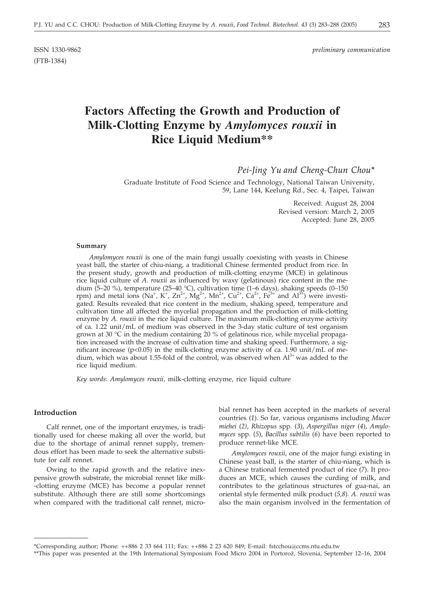(FTB-1384)

ISSN 1330-9862 *preliminary communication*

# **Factors Affecting the Growth and Production of Milk-Clotting Enzyme by** *Amylomyces rouxii* **in Rice Liquid Medium\*\***

*Pei-Jing Yu and Cheng-Chun Chou\**

Graduate Institute of Food Science and Technology, National Taiwan University, 59, Lane 144, Keelung Rd., Sec. 4, Taipei, Taiwan

> Received: August 28, 2004 Revised version: March 2, 2005 Accepted: June 28, 2005

#### **Summary**

*Amylomyces rouxii* is one of the main fungi usually coexisting with yeasts in Chinese yeast ball, the starter of chiu-niang, a traditional Chinese fermented product from rice. In the present study, growth and production of milk-clotting enzyme (MCE) in gelatinous rice liquid culture of *A*. *rouxii* as influenced by waxy (gelatinous) rice content in the medium (5–20 %), temperature (25–40 °C), cultivation time (1–6 days), shaking speeds (0–150 rpm) and metal ions (Na<sup>+</sup>, K<sup>+</sup>, Zn<sup>2+</sup>, Mg<sup>2+</sup>, Mn<sup>2+</sup>, Cu<sup>2+</sup>, Ca<sup>2+</sup>, Fe<sup>3+</sup> and Al<sup>3+</sup>) were investigated. Results revealed that rice content in the medium, shaking speed, temperature and cultivation time all affected the mycelial propagation and the production of milk-clotting enzyme by *A*. *rouxii* in the rice liquid culture. The maximum milk-clotting enzyme activity of ca. 1.22 unit/mL of medium was observed in the 3-day static culture of test organism grown at 30  $\degree$ C in the medium containing 20 % of gelatinous rice, while mycelial propagation increased with the increase of cultivation time and shaking speed. Furthermore, a significant increase (p<0.05) in the milk-clotting enzyme activity of ca. 1.90 unit/mL of medium, which was about 1.55-fold of the control, was observed when  $Al<sup>3+</sup>$  was added to the rice liquid medium.

*Key words*: *Amylomyces rouxii*, milk-clotting enzyme, rice liquid culture

## **Introduction**

Calf rennet, one of the important enzymes, is traditionally used for cheese making all over the world, but due to the shortage of animal rennet supply, tremendous effort has been made to seek the alternative substitute for calf rennet.

Owing to the rapid growth and the relative inexpensive growth substrate, the microbial rennet like milk- -clotting enzyme (MCE) has become a popular rennet substitute. Although there are still some shortcomings when compared with the traditional calf rennet, microbial rennet has been accepted in the markets of several countries (*1*). So far, various organisms including *Mucor miehei* (*2)*, *Rhizopus* spp. (*3*), *Aspergillus niger* (*4*), *Amylomyces* spp. (*5*), *Bacillus subtilis* (*6*) have been reported to produce rennet-like MCE.

*Amylomyces rouxii*, one of the major fungi existing in Chinese yeast ball, is the starter of chiu-niang, which is a Chinese trational fermented product of rice (*7*). It produces an MCE, which causes the curding of milk, and contributes to the gelatinous structures of gua-nai, an oriental style fermented milk product (*5,8*). *A*. *rouxii* was also the main organism involved in the fermentation of

<sup>\*</sup>Corresponding author; Phone: ++886 2 33 664 111; Fax: ++886 2 23 620 849; E-mail: fstcchou*@*ccms.ntu.edu.tw

<sup>\*\*</sup>This paper was presented at the 19th International Symposium Food Micro 2004 in Portorož, Slovenia, September 12-16, 2004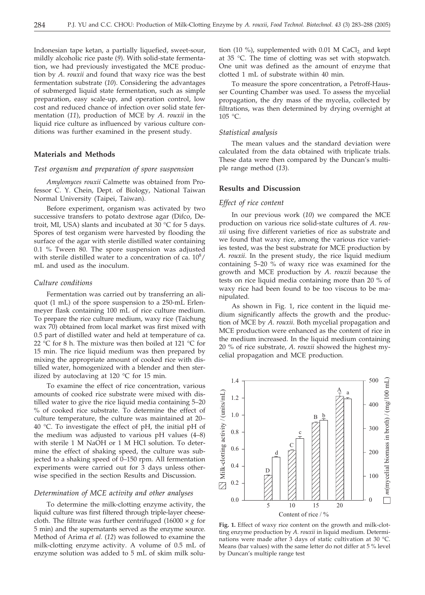Indonesian tape ketan, a partially liquefied, sweet-sour, mildly alcoholic rice paste (*9*). With solid-state fermentation, we had previously investigated the MCE production by *A*. *rouxii* and found that waxy rice was the best fermentation substrate (*10*). Considering the advantages of submerged liquid state fermentation, such as simple preparation, easy scale-up, and operation control, low cost and reduced chance of infection over solid state fermentation (*11*), production of MCE by *A*. *rouxii* in the liquid rice culture as influenced by various culture conditions was further examined in the present study.

#### **Materials and Methods**

#### *Test organism and preparation of spore suspension*

*Amylomyces rouxii* Calmette was obtained from Professor C. Y. Chein, Dept. of Biology, National Taiwan Normal University (Taipei, Taiwan).

Before experiment, organism was activated by two successive transfers to potato dextrose agar (Difco, Detroit, MI, USA) slants and incubated at 30 °C for 5 days. Spores of test organism were harvested by flooding the surface of the agar with sterile distilled water containing 0.1 % Tween 80. The spore suspension was adjusted with sterile distilled water to a concentration of ca.  $10^8/$ mL and used as the inoculum.

#### *Culture conditions*

Fermentation was carried out by transferring an aliquot (1 mL) of the spore suspension to a 250-mL Erlenmeyer flask containing 100 mL of rice culture medium. To prepare the rice culture medium, waxy rice (Taichung wax 70) obtained from local market was first mixed with 0.5 part of distilled water and held at temperature of ca. 22 °C for 8 h. The mixture was then boiled at 121 °C for 15 min. The rice liquid medium was then prepared by mixing the appropriate amount of cooked rice with distilled water, homogenized with a blender and then sterilized by autoclaving at 120  $^{\circ}$ C for 15 min.

To examine the effect of rice concentration, various amounts of cooked rice substrate were mixed with distilled water to give the rice liquid media containing 5–20 % of cooked rice substrate. To determine the effect of culture temperature, the culture was maintained at 20– 40 °C. To investigate the effect of pH, the initial pH of the medium was adjusted to various pH values (4–8) with sterile 1 M NaOH or 1 M HCl solution. To determine the effect of shaking speed, the culture was subjected to a shaking speed of 0–150 rpm. All fermentation experiments were carried out for 3 days unless otherwise specified in the section Results and Discussion.

#### *Determination of MCE activity and other analyses*

To determine the milk-clotting enzyme activity, the liquid culture was first filtered through triple-layer cheesecloth. The filtrate was further centrifuged  $(16000 \times g$  for 5 min) and the supernatants served as the enzyme source. Method of Arima *et al.* (*12*) was followed to examine the milk-clotting enzyme activity. A volume of 0.5 mL of enzyme solution was added to 5 mL of skim milk solution (10 %), supplemented with 0.01 M CaCl<sub>2</sub> and kept at 35 °C. The time of clotting was set with stopwatch. One unit was defined as the amount of enzyme that clotted 1 mL of substrate within 40 min.

To measure the spore concentration, a Petroff-Hausser Counting Chamber was used. To assess the mycelial propagation, the dry mass of the mycelia, collected by filtrations, was then determined by drying overnight at 105 °C.

#### *Statistical analysis*

The mean values and the standard deviation were calculated from the data obtained with triplicate trials. These data were then compared by the Duncan's multiple range method (*13*).

## **Results and Discussion**

## *Effect of rice content*

In our previous work (*10*) we compared the MCE production on various rice solid-state cultures of *A*. *rouxii* using five different varieties of rice as substrate and we found that waxy rice, among the various rice varieties tested, was the best substrate for MCE production by *A*. *rouxii*. In the present study, the rice liquid medium containing 5–20 % of waxy rice was examined for the growth and MCE production by *A*. *rouxii* because the tests on rice liquid media containing more than 20 % of waxy rice had been found to be too viscous to be manipulated.

As shown in Fig. 1, rice content in the liquid medium significantly affects the growth and the production of MCE by *A*. *rouxii*. Both mycelial propagation and MCE production were enhanced as the content of rice in the medium increased. In the liquid medium containing 20 % of rice substrate, *A*. *rouxii* showed the highest mycelial propagation and MCE production.



**Fig. 1.** Effect of waxy rice content on the growth and milk-clotting enzyme production by *A. rouxii* in liquid medium. Determinations were made after 3 days of static cultivation at 30 °C. Means (bar values) with the same letter do not differ at 5 % level by Duncan's multiple range test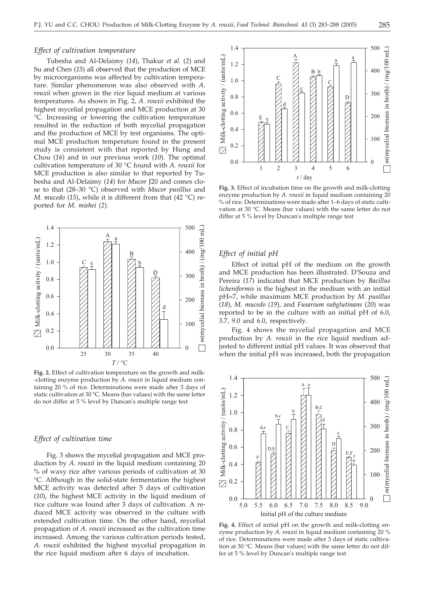#### *Effect of cultivation temperature*

Tubesha and Al-Delaimy (*14*), Thakur *et al.* (*2*) and Su and Chen (*15*) all observed that the production of MCE by microorganisms was affected by cultivation temperature. Similar phenomenon was also observed with *A*. *rouxii* when grown in the rice liquid medium at various temperatures. As shown in Fig. 2, *A*. *rouxii* exhibited the highest mycelial propagation and MCE production at 30 °C. Increasing or lowering the cultivation temperature resulted in the reduction of both mycelial propagation and the production of MCE by test organisms. The optimal MCE production temperature found in the present study is consistent with that reported by Hung and Chou (*16*) and in our previous work (*10*). The optimal cultivation temperature of 30 °C found with *A*. *rouxii* for MCE production is also similar to that reported by Tubesha and Al-Delaimy (*14*) for *Mucor* J20 and comes close to that (28–30 °C) observed with *Mucor pusillus* and *M*. *mucedo* (*15*), while it is different from that (42 °C) reported for *M*. *miehei* (*2*).



**Fig. 2.** Effect of cultivation temperature on the growth and milk- -clotting enzyme production by *A. rouxii* in liquid medium containing 20 % of rice. Determinations were made after 3 days of static cultivation at 30 °C. Means (bar values) with the same letter do not differ at 5 % level by Duncan's multiple range test

## *Effect of cultivation time*

Fig. 3 shows the mycelial propagation and MCE production by *A*. *rouxii* in the liquid medium containing 20 % of waxy rice after various periods of cultivation at 30 °C. Although in the solid-state fermentation the highest MCE activity was detected after 5 days of cultivation (*10*), the highest MCE activity in the liquid medium of rice culture was found after 3 days of cultivation. A reduced MCE activity was observed in the culture with extended cultivation time. On the other hand, mycelial propagation of *A*. *rouxii* increased as the cultivation time increased. Among the various cultivation periods tested, *A*. *rouxii* exhibited the highest mycelial propagation in the rice liquid medium after 6 days of incubation.



**Fig. 3.** Effect of incubation time on the growth and milk-clotting enzyme production by *A. rouxii* in liquid medium containing 20 % of rice. Determinations were made after 1–6 days of static cultivation at 30 °C. Means (bar values) with the same letter do not differ at 5 % level by Duncan's multiple range test

## *Effect of initial pH*

Effect of initial pH of the medium on the growth and MCE production has been illustrated. D'Souza and Pereira (*17*) indicated that MCE production by *Bacillus licheniformis* is the highest in the medium with an initial pH=7, while maximum MCE production by *M*. *pusillus* (*18*), *M*. *mucedo* (*19*), and *Fusarium subglutinans* (*20*) was reported to be in the culture with an initial pH of 6.0, 3.7, 9.0 and 6.0, respectively.

Fig. 4 shows the mycelial propagation and MCE production by *A*. *rouxii* in the rice liquid medium adjusted to different initial pH values. It was observed that when the initial pH was increased, both the propagation



**Fig. 4.** Effect of initial pH on the growth and milk-clotting enzyme production by *A. rouxii* in liquid medium containing 20 % of rice. Determinations were made after 3 days of static cultivation at 30 °C. Means (bar values) with the same letter do not differ at 5 % level by Duncan's multiple range test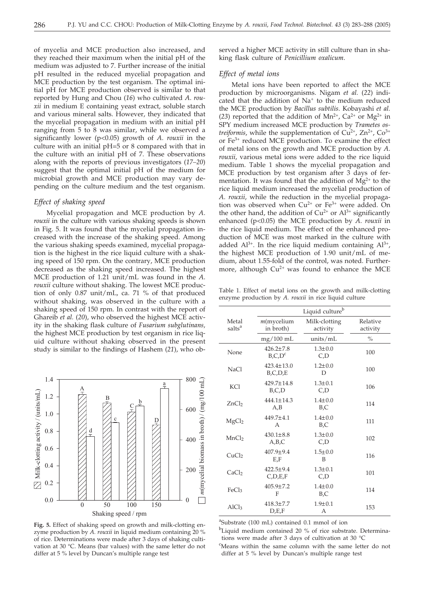of mycelia and MCE production also increased, and they reached their maximum when the initial pH of the medium was adjusted to 7. Further increase of the initial pH resulted in the reduced mycelial propagation and MCE production by the test organism. The optimal initial pH for MCE production observed is similar to that reported by Hung and Chou (*16*) who cultivated *A*. *rouxii* in medium E containing yeast extract, soluble starch and various mineral salts. However, they indicated that the mycelial propagation in medium with an initial pH ranging from 5 to 8 was similar, while we observed a significantly lower (p<0.05) growth of *A*. *rouxii* in the culture with an initial pH=5 or 8 compared with that in the culture with an initial pH of 7. These observations along with the reports of previous investigators (*17–20*) suggest that the optimal initial pH of the medium for microbial growth and MCE production may vary depending on the culture medium and the test organism.

#### *Effect of shaking speed*

Mycelial propagation and MCE production by *A*. *rouxii* in the culture with various shaking speeds is shown in Fig. 5. It was found that the mycelial propagation increased with the increase of the shaking speed. Among the various shaking speeds examined, mycelial propagation is the highest in the rice liquid culture with a shaking speed of 150 rpm. On the contrary, MCE production decreased as the shaking speed increased. The highest MCE production of 1.21 unit/mL was found in the *A*. *rouxii* culture without shaking. The lowest MCE production of only 0.87 unit/mL, ca. 71 % of that produced without shaking, was observed in the culture with a shaking speed of 150 rpm. In contrast with the report of Ghareib *et al.* (*20*), who observed the highest MCE activity in the shaking flask culture of *Fusarium subglutinans,* the highest MCE production by test organism in rice liquid culture without shaking observed in the present study is similar to the findings of Hashem (*21*), who ob-



**Fig. 5.** Effect of shaking speed on growth and milk-clotting enzyme production by *A. rouxii* in liquid medium containing 20 % of rice. Determinations were made after 3 days of shaking cultivation at 30 °C. Means (bar values) with the same letter do not differ at 5 % level by Duncan's multiple range test

served a higher MCE activity in still culture than in shaking flask culture of *Penicillium oxalicum*.

#### *Effect of metal ions*

Metal ions have been reported to affect the MCE production by microorganisms. Nigam *et al.* (*22*) indicated that the addition of  $Na<sup>+</sup>$  to the medium reduced the MCE production by *Bacillus subtilis*. Kobayashi *et al.* (23) reported that the addition of  $Mn^{2+}$ ,  $Ca^{2+}$  or  $Mg^{2+}$  in SPY medium increased MCE production by *Trametes ostreiformis*, while the supplementation of  $Cu^{2+}$ ,  $Zn^{2+}$ ,  $Co^{3+}$ or Fe3+ reduced MCE production. To examine the effect of metal ions on the growth and MCE production by *A*. *rouxii*, various metal ions were added to the rice liquid medium. Table 1 shows the mycelial propagation and MCE production by test organism after 3 days of fermentation. It was found that the addition of  $Mg^{2+}$  to the rice liquid medium increased the mycelial production of *A*. *rouxii*, while the reduction in the mycelial propagation was observed when  $Cu^{2+}$  or  $Fe^{3+}$  were added. On the other hand, the addition of  $Cu^{2+}$  or  $Al^{3+}$  significantly enhanced (p<0.05) the MCE production by *A*. *rouxii* in the rice liquid medium. The effect of the enhanced production of MCE was most marked in the culture with added  $Al^{3+}$ . In the rice liquid medium containing  $Al^{3+}$ , the highest MCE production of 1.90 unit/mL of medium, about 1.55-fold of the control, was noted. Furthermore, although  $Cu^{2+}$  was found to enhance the MCE

Table 1. Effect of metal ions on the growth and milk-clotting enzyme production by *A. rouxii* in rice liquid culture

|                             | Liquid culture <sup>b</sup>       |                           |                      |
|-----------------------------|-----------------------------------|---------------------------|----------------------|
| Metal<br>salts <sup>a</sup> | $m$ (mycelium<br>in broth)        | Milk-clotting<br>activity | Relative<br>activity |
|                             | $mg/100$ mL                       | units/ $mL$               | $\%$                 |
| None                        | $426.2 + 7.8$<br>$B$ , $C$ , $Dc$ | $1.3 \pm 0.0$<br>C,D      | 100                  |
| NaCl                        | $423.4 \pm 13.0$<br>B,C,D,E       | $1.2 \pm 0.0$<br>D        | 100                  |
| <b>KCl</b>                  | $429.7 \pm 14.8$<br>B.C.D         | $1.3 \pm 0.1$<br>C,D      | 106                  |
| ZnCl <sub>2</sub>           | $444.1 \pm 14.3$<br>A,B           | $1.4 \pm 0.0$<br>B.C      | 114                  |
| MgCl <sub>2</sub>           | $449.7 \pm 4.1$<br>A              | $1.4 \pm 0.0$<br>B,C      | 111                  |
| MnCl <sub>2</sub>           | $430.1 \pm 8.8$<br>A,B,C          | $1.3 \pm 0.0$<br>C,D      | 102                  |
| CuCl <sub>2</sub>           | $407.9 \pm 9.4$<br>E,F            | $1.5 \pm 0.0$<br>B        | 116                  |
| CaCl <sub>2</sub>           | $422.5 \pm 9.4$<br>C.D.E.F        | $1.3 \pm 0.1$<br>C,D      | 101                  |
| FeC <sub>l3</sub>           | $405.9 \pm 7.2$<br>F              | $1.4 + 0.0$<br>B,C        | 114                  |
| AlCl <sub>3</sub>           | $418.3 \pm 7.7$<br>D.E.F          | $1.9 + 0.1$<br>A          | 153                  |

<sup>a</sup>Substrate (100 mL) contained 0.1 mmol of ion

<sup>b</sup>Liquid medium contained 20 % of rice substrate. Determinations were made after 3 days of cultivation at 30 °C

c Means within the same column with the same letter do not differ at 5 % level by Duncan's multiple range test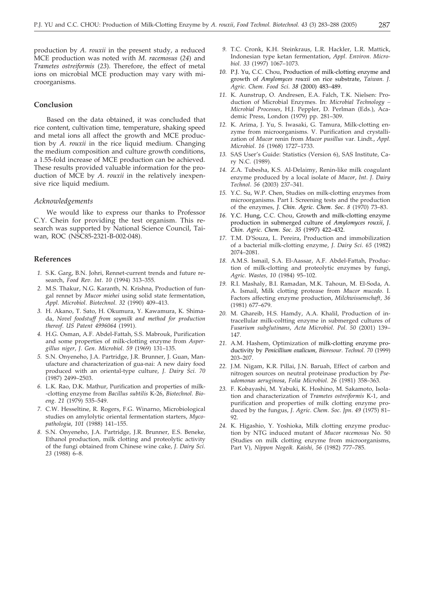production by *A*. *rouxii* in the present study, a reduced MCE production was noted with *M*. *racemosus* (*24*) and *Trametes ostreiformis* (*23*). Therefore, the effect of metal ions on microbial MCE production may vary with microorganisms.

### **Conclusion**

Based on the data obtained, it was concluded that rice content, cultivation time, temperature, shaking speed and metal ions all affect the growth and MCE production by *A. rouxii* in the rice liquid medium. Changing the medium composition and culture growth conditions, a 1.55-fold increase of MCE production can be achieved. These results provided valuable information for the production of MCE by *A*. *rouxii* in the relatively inexpensive rice liquid medium.

#### *Acknowledgements*

We would like to express our thanks to Professor C.Y. Chein for providing the test organism. This research was supported by National Science Council, Taiwan, ROC (NSC85-2321-B-002-048).

#### **References**

- *1.* S.K. Garg, B.N. Johri, Rennet-current trends and future research, *Food Rev*. *Int*. *10* (1994) 313–355.
- *2.* M.S. Thakur, N.G. Karanth, N. Krishna, Production of fungal rennet by *Mucor miehei* using solid state fermentation, *Appl*. *Microbiol*. *Biotechnol*. *32* (1990) 409–413.
- *3.* H. Akano, T. Sato, H. Okumura, Y. Kawamura, K. Shimada, *Novel foodstuff from soymilk and method for production thereof*. *US Patent 4996064* (1991).
- *4.* H.G. Osman, A.F. Abdel-Fattah, S.S. Mabrouk, Purification and some properties of milk-clotting enzyme from *Aspergillus niger*, *J*. *Gen*. *Microbiol*. *59* (1969) 131–135.
- *5.* S.N. Onyeneho, J.A. Partridge, J.R. Brunner, J. Guan, Manufacture and characterization of gua-nai: A new dairy food produced with an oriental-type culture, *J*. *Dairy Sci*. *70* (1987) 2499–2503.
- *6.* L.K. Rao, D.K. Mathur, Purification and properties of milk- -clotting enzyme from *Bacillus subtilis* K-26, *Biotechnol*. *Bioeng*. *21* (1979) 535–549.
- *7.* C.W. Hesseltine, R. Rogers, F.G. Winarno, Microbiological studies on amylolytic oriental fermentation starters, *Mycopathologia*, *101* (1988) 141–155.
- *8.* S.N. Onyeneho, J.A. Partridge, J.R. Brunner, E.S. Beneke, Ethanol production, milk clotting and proteolytic activity of the fungi obtained from Chinese wine cake, *J*. *Dairy Sci*. *23* (1988) 6–8.
- *9.* T.C. Cronk, K.H. Steinkraus, L.R. Hackler, L.R. Mattick, Indonesian type ketan fermentation, *Appl*. *Environ*. *Microbiol*. *33* (1997) 1067–1073.
- *10.* P.J. Yu, C.C. Chou, Production of milk-clotting enzyme and growth of *Amylomyces rouxii* on rice substrate, *Taiwan. J*. *Agric*. *Chem*. *Food Sci*. *38* (2000) 483–489.
- *11.* K. Aunstrup, O. Andresen, E.A. Falch, T.K. Nielsen: Production of Microbial Enzymes. In: *Microbial Technology – Microbial Processes*, H.J. Peppler, D. Perlman (Eds.), Academic Press, London (1979) pp. 281–309.
- *12.* K. Arima, J. Yu, S. Iwasaki, G. Tamura, Milk-clotting enzyme from microorganisms. V. Purification and crystallization of *Mucor* renin from *Mucor pusillus* var. Lindt., *Appl*. *Microbiol*. *16* (1968) 1727–1733.
- *13.* SAS User's Guide: Statistics (Version 6), SAS Institute, Cary N.C. (1989).
- *14.* Z.A. Tubesha, K.S. Al-Delaimy, Renin-like milk coagulant enzyme produced by a local isolate of *Mucor*, *Int*. *J*. *Dairy Technol*. *56* (2003) 237–341.
- *15.* Y.C. Su, W.P. Chen, Studies on milk-clotting enzymes from microorganisms. Part I. Screening tests and the production of the enzymes, *J*. *Chin. Agric*. *Chem*. *Soc*. *8* (1970) 73–83.
- *16.* Y.C. Hung, C.C. Chou, Growth and milk-clotting enzyme production in submerged culture of *Amylomyces rouxii*, *J*. *Chin. Agric*. *Chem*. *Soc*. *35* (1997) 422–432.
- *17.* T.M. D'Souza, L. Pereira, Production and immobilization of a bacterial milk-clotting enzyme, *J*. *Dairy Sci*. *65* (1982) 2074–2081.
- *18.* A.M.S. Ismail, S.A. El-Aassar, A.F. Abdel-Fattah, Production of milk-clotting and proteolytic enzymes by fungi, *Agric*. *Wastes, 10* (1984) 95–102.
- *19.* R.I. Mashaly, B.I. Ramadan, M.K. Tahoun, M. El-Soda, A. A. Ismail, Milk clotting protease from *Mucor mucedo*. I. Factors affecting enzyme production, *Milchwissenschaft, 36* (1981) 677–679.
- *20.* M. Ghareib, H.S. Hamdy, A.A. Khalil, Production of intracellular milk-coltting enzyme in submerged cultures of *Fusarium subglutinans*, *Acta Microbiol*. *Pol*. *50* (2001) 139– 147.
- *21.* A.M. Hashem, Optimization of milk-clotting enzyme productivity by *Penicillium oxalicum*, *Bioresour*. *Technol*. *70* (1999) 203–207.
- *22.* J.M. Nigam, K.R. Pillai, J.N. Baruah, Effect of carbon and nitrogen sources on neutral proteinase production by *Pseudomonas aeruginosa*, *Folia Microbiol*. *26* (1981) 358–363.
- *23.* F. Kobayashi, M. Yabuki, K. Hoshino, M. Sakamoto, Isolation and characterization of *Trametes ostreiformis* K-1, and purification and properties of milk clotting enzyme produced by the fungus, *J*. *Agric*. *Chem*. *Soc*. *Jpn*. *49* (1975) 81– 92.
- *24.* K. Higashio, Y. Yoshioka, Milk clotting enzyme production by NTG induced mutant of *Mucor racemosus* No. 50 (Studies on milk clotting enzyme from microorganisms, Part V), *Nippon Nogeik. Kaishi, 56* (1982) 777–785.